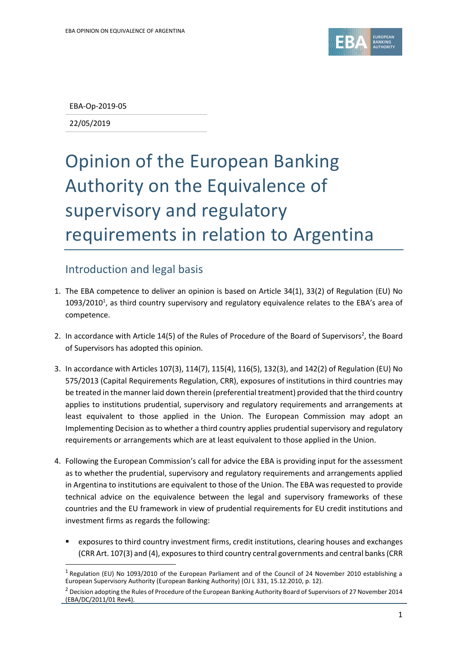

EBA-Op-2019-05

22/05/2019

1

## Opinion of the European Banking Authority on the Equivalence of supervisory and regulatory requirements in relation to Argentina

## Introduction and legal basis

- 1. The EBA competence to deliver an opinion is based on Article 34(1), 33(2) of Regulation (EU) No  $1093/2010<sup>1</sup>$ , as third country supervisory and regulatory equivalence relates to the EBA's area of competence.
- 2. In accordance with Article 14(5) of the Rules of Procedure of the Board of Supervisors<sup>2</sup>, the Board of Supervisors has adopted this opinion.
- 3. In accordance with Articles 107(3), 114(7), 115(4), 116(5), 132(3), and 142(2) of Regulation (EU) No 575/2013 (Capital Requirements Regulation, CRR), exposures of institutions in third countries may be treated in the manner laid down therein (preferential treatment) provided that the third country applies to institutions prudential, supervisory and regulatory requirements and arrangements at least equivalent to those applied in the Union. The European Commission may adopt an Implementing Decision as to whether a third country applies prudential supervisory and regulatory requirements or arrangements which are at least equivalent to those applied in the Union.
- 4. Following the European Commission's call for advice the EBA is providing input for the assessment as to whether the prudential, supervisory and regulatory requirements and arrangements applied in Argentina to institutions are equivalent to those of the Union. The EBA was requested to provide technical advice on the equivalence between the legal and supervisory frameworks of these countries and the EU framework in view of prudential requirements for EU credit institutions and investment firms as regards the following:
	- exposures to third country investment firms, credit institutions, clearing houses and exchanges (CRR Art. 107(3) and (4), exposures to third country central governments and central banks(CRR

<sup>&</sup>lt;sup>1</sup> Regulation (EU) No 1093/2010 of the European Parliament and of the Council of 24 November 2010 establishing a European Supervisory Authority (European Banking Authority) (OJ L 331, 15.12.2010, p. 12).

 $2$  Decision adopting the Rules of Procedure of the European Banking Authority Board of Supervisors of 27 November 2014 (EBA/DC/2011/01 Rev4).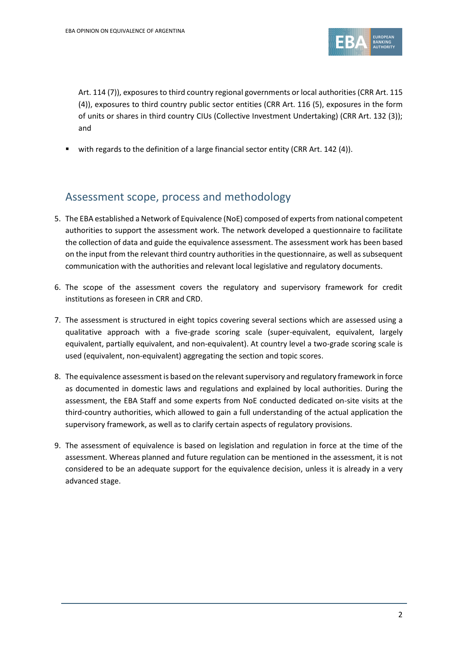

Art. 114 (7)), exposures to third country regional governments or local authorities (CRR Art. 115 (4)), exposures to third country public sector entities (CRR Art. 116 (5), exposures in the form of units or shares in third country CIUs (Collective Investment Undertaking) (CRR Art. 132 (3)); and

with regards to the definition of a large financial sector entity (CRR Art. 142 (4)).

## Assessment scope, process and methodology

- 5. The EBA established a Network of Equivalence (NoE) composed of experts from national competent authorities to support the assessment work. The network developed a questionnaire to facilitate the collection of data and guide the equivalence assessment. The assessment work has been based on the input from the relevant third country authorities in the questionnaire, as well as subsequent communication with the authorities and relevant local legislative and regulatory documents.
- 6. The scope of the assessment covers the regulatory and supervisory framework for credit institutions as foreseen in CRR and CRD.
- 7. The assessment is structured in eight topics covering several sections which are assessed using a qualitative approach with a five-grade scoring scale (super-equivalent, equivalent, largely equivalent, partially equivalent, and non-equivalent). At country level a two-grade scoring scale is used (equivalent, non-equivalent) aggregating the section and topic scores.
- 8. The equivalence assessment is based on the relevant supervisory and regulatory framework in force as documented in domestic laws and regulations and explained by local authorities. During the assessment, the EBA Staff and some experts from NoE conducted dedicated on-site visits at the third-country authorities, which allowed to gain a full understanding of the actual application the supervisory framework, as well as to clarify certain aspects of regulatory provisions.
- 9. The assessment of equivalence is based on legislation and regulation in force at the time of the assessment. Whereas planned and future regulation can be mentioned in the assessment, it is not considered to be an adequate support for the equivalence decision, unless it is already in a very advanced stage.